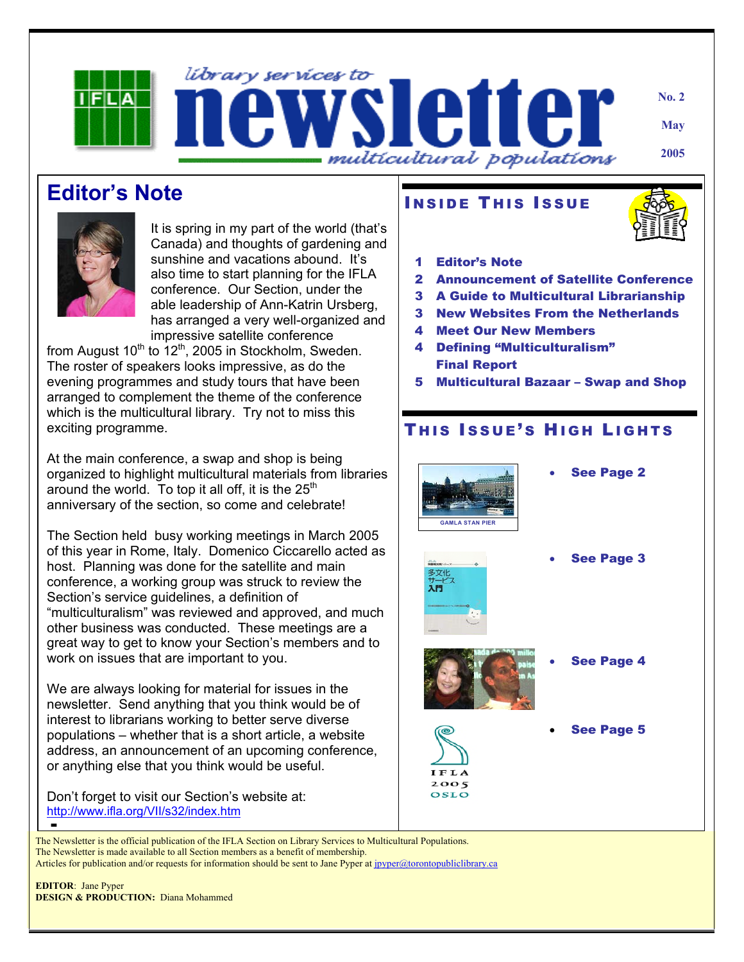

**Editor's Note** 



It is spring in my part of the world (that's Canada) and thoughts of gardening and sunshine and vacations abound. It's also time to start planning for the IFLA conference. Our Section, under the able leadership of Ann-Katrin Ursberg, has arranged a very well-organized and impressive satellite conference

from August  $10^{th}$  to  $12^{th}$ , 2005 in Stockholm, Sweden. The roster of speakers looks impressive, as do the evening programmes and study tours that have been arranged to complement the theme of the conference which is the multicultural library. Try not to miss this exciting programme.

At the main conference, a swap and shop is being organized to highlight multicultural materials from libraries around the world. To top it all off, it is the  $25<sup>th</sup>$ anniversary of the section, so come and celebrate!

The Section held busy working meetings in March 2005 of this year in Rome, Italy. Domenico Ciccarello acted as host. Planning was done for the satellite and main conference, a working group was struck to review the Section's service guidelines, a definition of "multiculturalism" was reviewed and approved, and much other business was conducted. These meetings are a great way to get to know your Section's members and to work on issues that are important to you.

We are always looking for material for issues in the newsletter. Send anything that you think would be of interest to librarians working to better serve diverse populations – whether that is a short article, a website address, an announcement of an upcoming conference, or anything else that you think would be useful.

Don't forget to visit our Section's website at: <http://www.ifla.org/VII/s32/index.htm> ■

#### **INSIDE THIS ISSUE**



- 1 Editor's Note
- 2 Announcement of Satellite Conference
- 3 A Guide to Multicultural Librarianship
- 3 New Websites From the Netherlands
- 4 Meet Our New Members
- 4 Defining "Multiculturalism" Final Report
- 5 Multicultural Bazaar Swap and Shop

### THIS ISSUE'S HIGH LIGHTS



**See Page 2** 



 $2005$ oslo

See Page 3



- **See Page 4**
- **See Page 5**

The Newsletter is the official publication of the IFLA Section on Library Services to Multicultural Populations. The Newsletter is made available to all Section members as a benefit of membership. Articles for publication and/or requests for information should be sent to Jane Pyper at jpyper@torontopubliclibrary.ca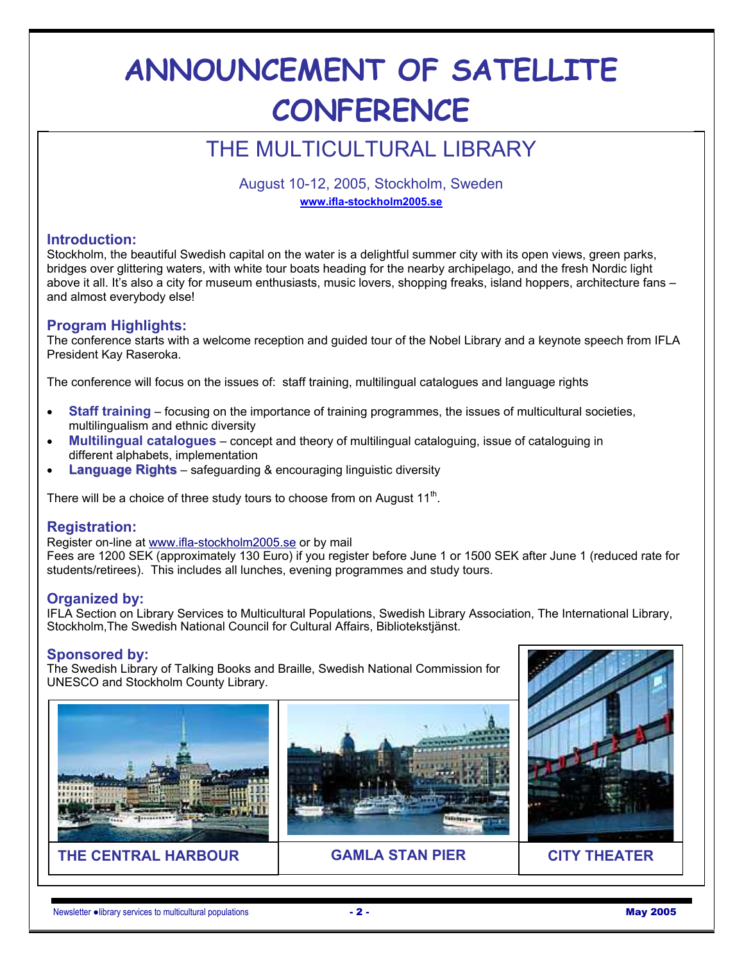# **ANNOUNCEMENT OF SATELLITE CONFERENCE**

### THE MULTICULTURAL LIBRARY

August 10-12, 2005, Stockholm, Sweden **www.ifla-stockholm2005.se**

#### **Introduction:**

Stockholm, the beautiful Swedish capital on the water is a delightful summer city with its open views, green parks, bridges over glittering waters, with white tour boats heading for the nearby archipelago, and the fresh Nordic light above it all. It's also a city for museum enthusiasts, music lovers, shopping freaks, island hoppers, architecture fans – and almost everybody else!

#### **Program Highlights:**

The conference starts with a welcome reception and guided tour of the Nobel Library and a keynote speech from IFLA President Kay Raseroka.

The conference will focus on the issues of: staff training, multilingual catalogues and language rights

- **Staff training** focusing on the importance of training programmes, the issues of multicultural societies, multilingualism and ethnic diversity
- **Multilingual catalogues** concept and theory of multilingual cataloguing, issue of cataloguing in different alphabets, implementation
- **Language Rights** safeguarding & encouraging linguistic diversity

There will be a choice of three study tours to choose from on August  $11<sup>th</sup>$ .

#### **Registration:**

Register on-line at www.ifla-stockholm2005.se or by mail Fees are 1200 SEK (approximately 130 Euro) if you register before June 1 or 1500 SEK after June 1 (reduced rate for students/retirees). This includes all lunches, evening programmes and study tours.

#### **Organized by:**

IFLA Section on Library Services to Multicultural Populations, Swedish Library Association, The International Library, Stockholm,The Swedish National Council for Cultural Affairs, Bibliotekstjänst.

#### **Sponsored by:**

The Swedish Library of Talking Books and Braille, Swedish National Commission for UNESCO and Stockholm County Library.



**THE CENTRAL HARBOUR GAMLA STAN PIER CITY THEATER** 



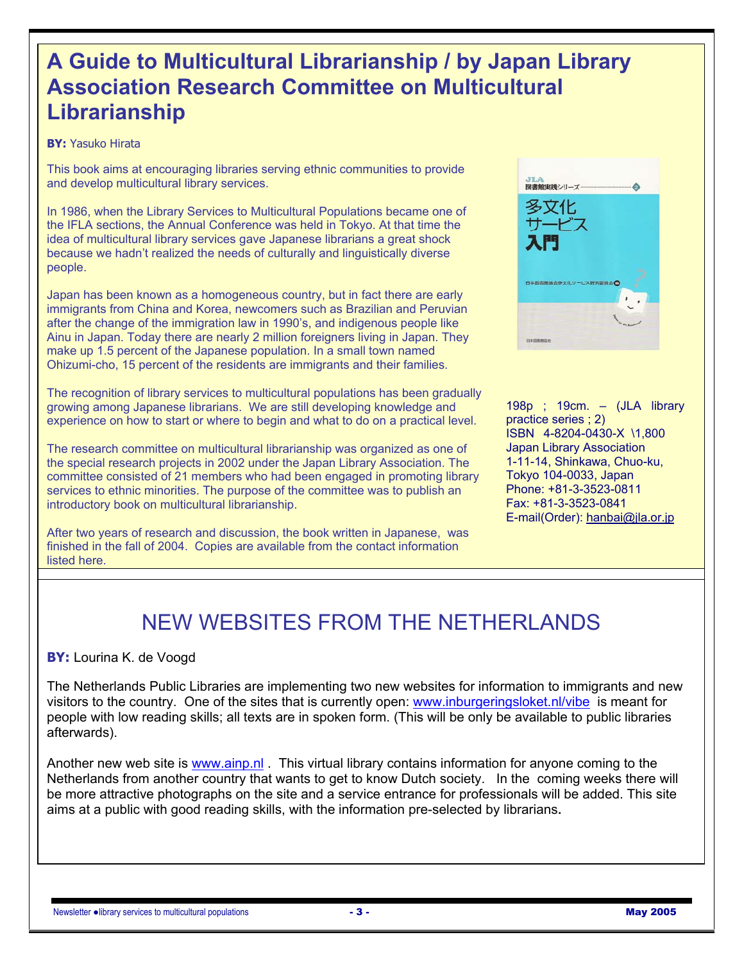### **A Guide to Multicultural Librarianship / by Japan Library Association Research Committee on Multicultural Librarianship**

#### **BY:** Yasuko Hirata

This book aims at encouraging libraries serving ethnic communities to provide and develop multicultural library services.

In 1986, when the Library Services to Multicultural Populations became one of the IFLA sections, the Annual Conference was held in Tokyo. At that time the idea of multicultural library services gave Japanese librarians a great shock because we hadn't realized the needs of culturally and linguistically diverse people.

Japan has been known as a homogeneous country, but in fact there are early immigrants from China and Korea, newcomers such as Brazilian and Peruvian after the change of the immigration law in 1990's, and indigenous people like Ainu in Japan. Today there are nearly 2 million foreigners living in Japan. They make up 1.5 percent of the Japanese population. In a small town named Ohizumi-cho, 15 percent of the residents are immigrants and their families.

The recognition of library services to multicultural populations has been gradually growing among Japanese librarians. We are still developing knowledge and experience on how to start or where to begin and what to do on a practical level.

The research committee on multicultural librarianship was organized as one of the special research projects in 2002 under the Japan Library Association. The committee consisted of 21 members who had been engaged in promoting library services to ethnic minorities. The purpose of the committee was to publish an introductory book on multicultural librarianship.

After two years of research and discussion, the book written in Japanese, was finished in the fall of 2004. Copies are available from the contact information listed here.



198p ; 19cm. – (JLA library practice series ; 2) ISBN 4-8204-0430-X \1,800 Japan Library Association 1-11-14, Shinkawa, Chuo-ku, Tokyo 104-0033, Japan Phone: +81-3-3523-0811 Fax: +81-3-3523-0841 E-mail(Order): hanbai@jla.or.jp

### NEW WEBSITES FROM THE NETHERLANDS

#### **BY:** Lourina K. de Voogd

The Netherlands Public Libraries are implementing two new websites for information to immigrants and new visitors to the country. One of the sites that is currently open: www.inburgeringsloket.nl/vibe is meant for people with low reading skills; all texts are in spoken form. (This will be only be available to public libraries afterwards).

Another new web site is www.ainp.nl . This virtual library contains information for anyone coming to the Netherlands from another country that wants to get to know Dutch society. In the coming weeks there will be more attractive photographs on the site and a service entrance for professionals will be added. This site aims at a public with good reading skills, with the information pre-selected by librarians**.**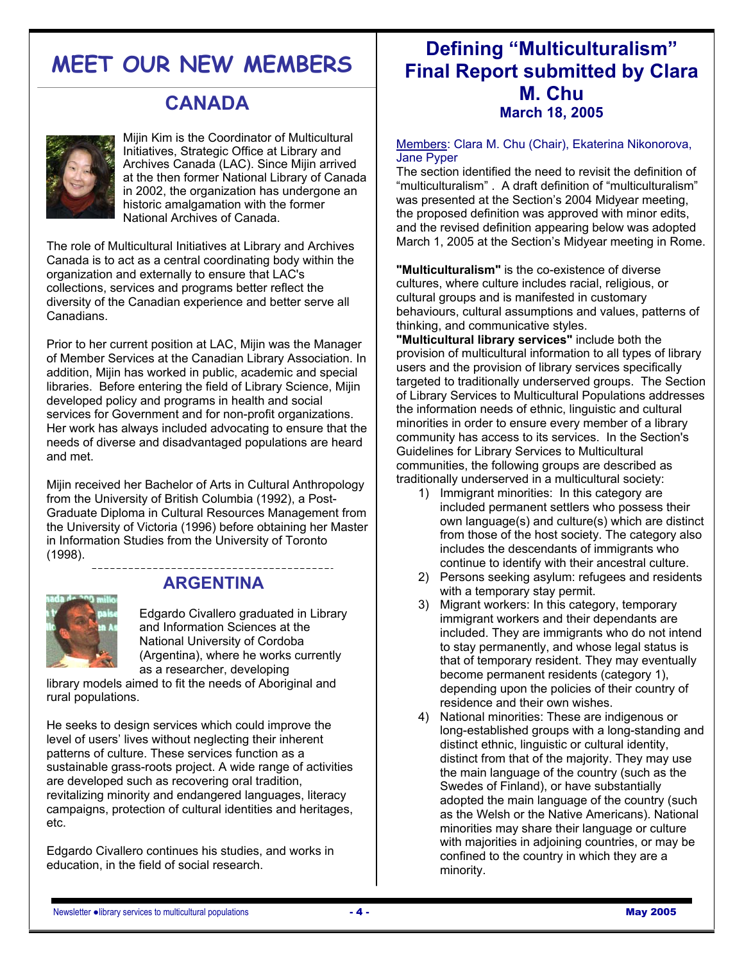## **MEET OUR NEW MEMBERS**

### **CANADA**



Mijin Kim is the Coordinator of Multicultural Initiatives, Strategic Office at Library and Archives Canada (LAC). Since Mijin arrived at the then former National Library of Canada in 2002, the organization has undergone an historic amalgamation with the former National Archives of Canada.

The role of Multicultural Initiatives at Library and Archives Canada is to act as a central coordinating body within the organization and externally to ensure that LAC's collections, services and programs better reflect the diversity of the Canadian experience and better serve all Canadians.

Prior to her current position at LAC, Mijin was the Manager of Member Services at the Canadian Library Association. In addition, Mijin has worked in public, academic and special libraries. Before entering the field of Library Science, Mijin developed policy and programs in health and social services for Government and for non-profit organizations. Her work has always included advocating to ensure that the needs of diverse and disadvantaged populations are heard and met.

Mijin received her Bachelor of Arts in Cultural Anthropology from the University of British Columbia (1992), a Post-Graduate Diploma in Cultural Resources Management from the University of Victoria (1996) before obtaining her Master in Information Studies from the University of Toronto (1998).



### **ARGENTINA**

Edgardo Civallero graduated in Library and Information Sciences at the National University of Cordoba (Argentina), where he works currently as a researcher, developing

library models aimed to fit the needs of Aboriginal and rural populations.

He seeks to design services which could improve the level of users' lives without neglecting their inherent patterns of culture. These services function as a sustainable grass-roots project. A wide range of activities are developed such as recovering oral tradition, revitalizing minority and endangered languages, literacy campaigns, protection of cultural identities and heritages, etc.

Edgardo Civallero continues his studies, and works in education, in the field of social research.

### **Defining "Multiculturalism" Final Report submitted by Clara M. Chu March 18, 2005**

Members: Clara M. Chu (Chair), Ekaterina Nikonorova, Jane Pyper

The section identified the need to revisit the definition of "multiculturalism" . A draft definition of "multiculturalism" was presented at the Section's 2004 Midyear meeting, the proposed definition was approved with minor edits, and the revised definition appearing below was adopted March 1, 2005 at the Section's Midyear meeting in Rome.

**"Multiculturalism"** is the co-existence of diverse cultures, where culture includes racial, religious, or cultural groups and is manifested in customary behaviours, cultural assumptions and values, patterns of thinking, and communicative styles.

**"Multicultural library services"** include both the provision of multicultural information to all types of library users and the provision of library services specifically targeted to traditionally underserved groups. The Section of Library Services to Multicultural Populations addresses the information needs of ethnic, linguistic and cultural minorities in order to ensure every member of a library community has access to its services. In the Section's Guidelines for Library Services to Multicultural communities, the following groups are described as traditionally underserved in a multicultural society:

- 1) Immigrant minorities: In this category are included permanent settlers who possess their own language(s) and culture(s) which are distinct from those of the host society. The category also includes the descendants of immigrants who continue to identify with their ancestral culture.
- 2) Persons seeking asylum: refugees and residents with a temporary stay permit.
- 3) Migrant workers: In this category, temporary immigrant workers and their dependants are included. They are immigrants who do not intend to stay permanently, and whose legal status is that of temporary resident. They may eventually become permanent residents (category 1), depending upon the policies of their country of residence and their own wishes.
- 4) National minorities: These are indigenous or long-established groups with a long-standing and distinct ethnic, linguistic or cultural identity, distinct from that of the majority. They may use the main language of the country (such as the Swedes of Finland), or have substantially adopted the main language of the country (such as the Welsh or the Native Americans). National minorities may share their language or culture with majorities in adjoining countries, or may be confined to the country in which they are a minority.